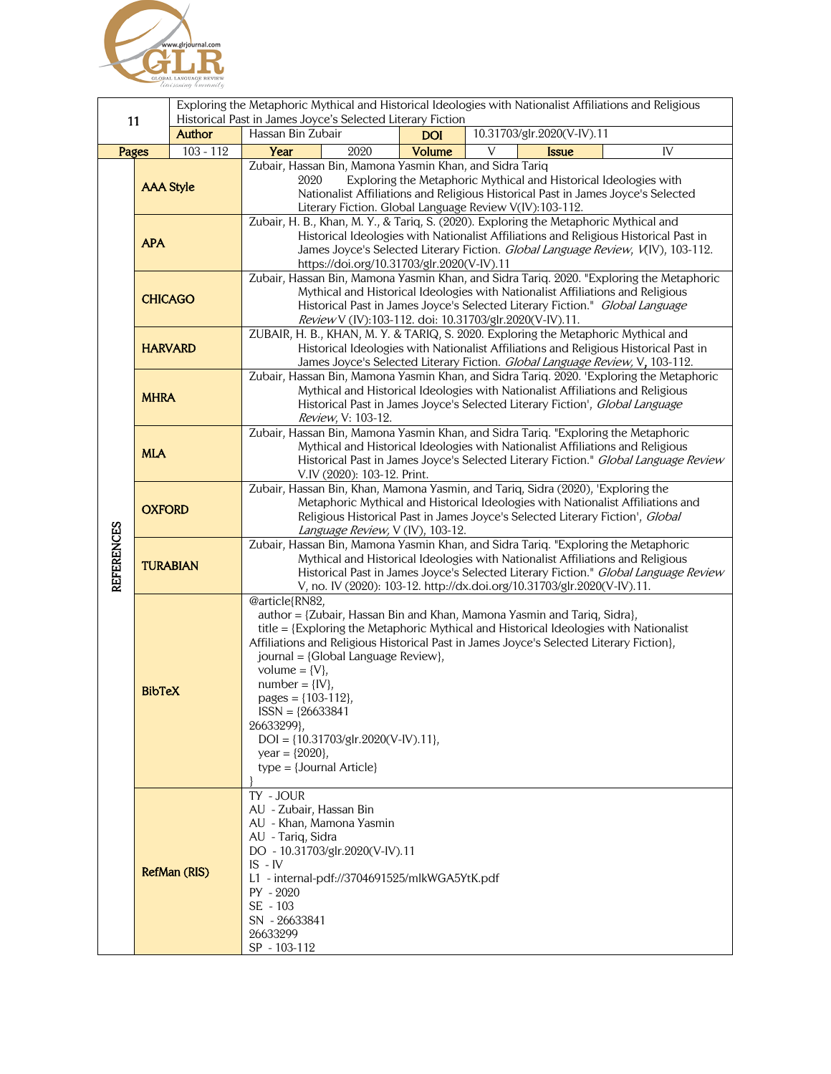

| 11<br><b>Author</b> |                  |             | Exploring the Metaphoric Mythical and Historical Ideologies with Nationalist Affiliations and Religious<br>Historical Past in James Joyce's Selected Literary Fiction                                                                                                                                                 |            |                                                                                                                                                                                                                                                                                                                                        |  |
|---------------------|------------------|-------------|-----------------------------------------------------------------------------------------------------------------------------------------------------------------------------------------------------------------------------------------------------------------------------------------------------------------------|------------|----------------------------------------------------------------------------------------------------------------------------------------------------------------------------------------------------------------------------------------------------------------------------------------------------------------------------------------|--|
|                     |                  |             | Hassan Bin Zubair                                                                                                                                                                                                                                                                                                     | <b>DOI</b> | 10.31703/glr.2020(V-IV).11                                                                                                                                                                                                                                                                                                             |  |
| <b>Pages</b>        |                  | $103 - 112$ | 2020<br>Year                                                                                                                                                                                                                                                                                                          | Volume     | IV<br>V<br><b>Issue</b>                                                                                                                                                                                                                                                                                                                |  |
| <b>REFERENCES</b>   | <b>AAA Style</b> |             | Zubair, Hassan Bin, Mamona Yasmin Khan, and Sidra Tariq<br>Exploring the Metaphoric Mythical and Historical Ideologies with<br>2020<br>Nationalist Affiliations and Religious Historical Past in James Joyce's Selected<br>Literary Fiction. Global Language Review V(IV):103-112.                                    |            |                                                                                                                                                                                                                                                                                                                                        |  |
|                     | <b>APA</b>       |             | Zubair, H. B., Khan, M. Y., & Tariq, S. (2020). Exploring the Metaphoric Mythical and<br>Historical Ideologies with Nationalist Affiliations and Religious Historical Past in<br>James Joyce's Selected Literary Fiction. Global Language Review, V(IV), 103-112.<br>https://doi.org/10.31703/glr.2020(V-IV).11       |            |                                                                                                                                                                                                                                                                                                                                        |  |
|                     | <b>CHICAGO</b>   |             | Zubair, Hassan Bin, Mamona Yasmin Khan, and Sidra Tariq. 2020. "Exploring the Metaphoric<br>Mythical and Historical Ideologies with Nationalist Affiliations and Religious<br>Historical Past in James Joyce's Selected Literary Fiction." Global Language<br>Review V (IV):103-112. doi: 10.31703/glr.2020(V-IV).11. |            |                                                                                                                                                                                                                                                                                                                                        |  |
|                     | <b>HARVARD</b>   |             |                                                                                                                                                                                                                                                                                                                       |            | ZUBAIR, H. B., KHAN, M. Y. & TARIQ, S. 2020. Exploring the Metaphoric Mythical and<br>Historical Ideologies with Nationalist Affiliations and Religious Historical Past in<br>James Joyce's Selected Literary Fiction. Global Language Review, V, 103-112.                                                                             |  |
|                     | <b>MHRA</b>      |             | Review, V: 103-12.                                                                                                                                                                                                                                                                                                    |            | Zubair, Hassan Bin, Mamona Yasmin Khan, and Sidra Tariq. 2020. 'Exploring the Metaphoric<br>Mythical and Historical Ideologies with Nationalist Affiliations and Religious<br>Historical Past in James Joyce's Selected Literary Fiction', Global Language                                                                             |  |
|                     | <b>MLA</b>       |             | Zubair, Hassan Bin, Mamona Yasmin Khan, and Sidra Tariq. "Exploring the Metaphoric<br>Mythical and Historical Ideologies with Nationalist Affiliations and Religious<br>Historical Past in James Joyce's Selected Literary Fiction." Global Language Review<br>V.IV (2020): 103-12. Print.                            |            |                                                                                                                                                                                                                                                                                                                                        |  |
|                     | <b>OXFORD</b>    |             | Zubair, Hassan Bin, Khan, Mamona Yasmin, and Tariq, Sidra (2020), 'Exploring the<br>Metaphoric Mythical and Historical Ideologies with Nationalist Affiliations and<br>Religious Historical Past in James Joyce's Selected Literary Fiction', Global<br>Language Review, V (IV), 103-12.                              |            |                                                                                                                                                                                                                                                                                                                                        |  |
|                     | <b>TURABIAN</b>  |             |                                                                                                                                                                                                                                                                                                                       |            | Zubair, Hassan Bin, Mamona Yasmin Khan, and Sidra Tariq. "Exploring the Metaphoric<br>Mythical and Historical Ideologies with Nationalist Affiliations and Religious<br>Historical Past in James Joyce's Selected Literary Fiction." Global Language Review<br>V, no. IV (2020): 103-12. http://dx.doi.org/10.31703/glr.2020(V-IV).11. |  |
|                     | <b>BibTeX</b>    |             | @article{RN82,<br>journal = {Global Language Review},<br>volume = $\{V\},\$<br>$number = \{IV\},$<br>pages = $\{103-112\}$ ,<br>$ISSN = {26633841}$<br>26633299},<br>$DOI = \{10.31703/glr.2020(V-IV).11\},$<br>year = ${2020}$ ,<br>$type = {Journal Article}$                                                       |            | author = {Zubair, Hassan Bin and Khan, Mamona Yasmin and Tariq, Sidra},<br>title = {Exploring the Metaphoric Mythical and Historical Ideologies with Nationalist<br>Affiliations and Religious Historical Past in James Joyce's Selected Literary Fiction},                                                                            |  |
|                     | RefMan (RIS)     |             | TY - JOUR<br>AU - Zubair, Hassan Bin<br>AU - Khan, Mamona Yasmin<br>AU - Tariq, Sidra<br>DO - 10.31703/glr.2020(V-IV).11<br>$IS - IV$<br>L1 - internal-pdf://3704691525/mlkWGA5YtK.pdf<br>$PY - 2020$<br>SE - 103<br>SN - 26633841<br>26633299<br>SP - 103-112                                                        |            |                                                                                                                                                                                                                                                                                                                                        |  |